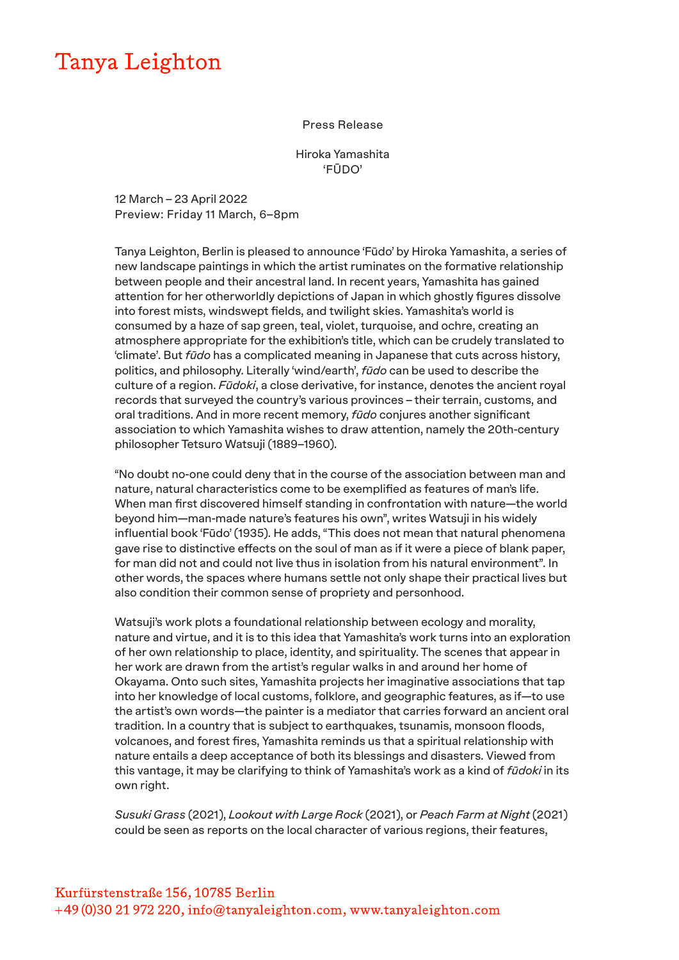## Tanya Leighton

## Press Release

Hiroka Yamashita 'FŪDO'

12 March – 23 April 2022 Preview: Friday 11 March, 6–8pm

Tanya Leighton, Berlin is pleased to announce 'Fūdo' by Hiroka Yamashita, a series of new landscape paintings in which the artist ruminates on the formative relationship between people and their ancestral land. In recent years, Yamashita has gained attention for her otherworldly depictions of Japan in which ghostly figures dissolve into forest mists, windswept fields, and twilight skies. Yamashita's world is consumed by a haze of sap green, teal, violet, turquoise, and ochre, creating an atmosphere appropriate for the exhibition's title, which can be crudely translated to 'climate'. But *fūdo* has a complicated meaning in Japanese that cuts across history, politics, and philosophy. Literally 'wind/earth', *fūdo* can be used to describe the culture of a region. *Fūdoki*, a close derivative, for instance, denotes the ancient royal records that surveyed the country's various provinces – their terrain, customs, and oral traditions. And in more recent memory, *fūdo* conjures another significant association to which Yamashita wishes to draw attention, namely the 20th-century philosopher Tetsuro Watsuji (1889–1960).

"No doubt no-one could deny that in the course of the association between man and nature, natural characteristics come to be exemplified as features of man's life. When man first discovered himself standing in confrontation with nature—the world beyond him—man-made nature's features his own", writes Watsuji in his widely influential book 'Fūdo' (1935). He adds, "This does not mean that natural phenomena gave rise to distinctive effects on the soul of man as if it were a piece of blank paper, for man did not and could not live thus in isolation from his natural environment". In other words, the spaces where humans settle not only shape their practical lives but also condition their common sense of propriety and personhood.

Watsuji's work plots a foundational relationship between ecology and morality, nature and virtue, and it is to this idea that Yamashita's work turns into an exploration of her own relationship to place, identity, and spirituality. The scenes that appear in her work are drawn from the artist's regular walks in and around her home of Okayama. Onto such sites, Yamashita projects her imaginative associations that tap into her knowledge of local customs, folklore, and geographic features, as if—to use the artist's own words—the painter is a mediator that carries forward an ancient oral tradition. In a country that is subject to earthquakes, tsunamis, monsoon floods, volcanoes, and forest fires, Yamashita reminds us that a spiritual relationship with nature entails a deep acceptance of both its blessings and disasters. Viewed from this vantage, it may be clarifying to think of Yamashita's work as a kind of *fūdoki* in its own right.

*Susuki Grass* (2021), *Lookout with Large Rock* (2021), or *Peach Farm at Night* (2021) could be seen as reports on the local character of various regions, their features,